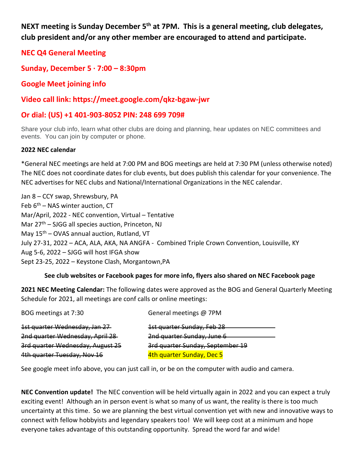**NEXT meeting is Sunday December 5th at 7PM. This is a general meeting, club delegates, club president and/or any other member are encouraged to attend and participate.** 

**NEC Q4 General Meeting**

**Sunday, December 5 · 7:00 – 8:30pm**

**Google Meet joining info**

**Video call link: https://meet.google.com/qkz-bgaw-jwr**

# **Or dial: (US) +1 401-903-8052 PIN: 248 699 709#**

Share your club info, learn what other clubs are doing and planning, hear updates on NEC committees and events. You can join by computer or phone.

### **2022 NEC calendar**

\*General NEC meetings are held at 7:00 PM and BOG meetings are held at 7:30 PM (unless otherwise noted) The NEC does not coordinate dates for club events, but does publish this calendar for your convenience. The NEC advertises for NEC clubs and National/International Organizations in the NEC calendar.

Jan 8 – CCY swap, Shrewsbury, PA Feb  $6<sup>th</sup>$  – NAS winter auction, CT Mar/April, 2022 - NEC convention, Virtual – Tentative Mar 27<sup>th</sup> – SJGG all species auction, Princeton, NJ May  $15<sup>th</sup>$  – OVAS annual auction, Rutland, VT July 27-31, 2022 – ACA, ALA, AKA, NA ANGFA - Combined Triple Crown Convention, Louisville, KY Aug 5-6, 2022 – SJGG will host IFGA show Sept 23-25, 2022 – Keystone Clash, Morgantown,PA

## **See club websites or Facebook pages for more info, flyers also shared on NEC Facebook page**

**2021 NEC Meeting Calendar:** The following dates were approved as the BOG and General Quarterly Meeting Schedule for 2021, all meetings are conf calls or online meetings:

| BOG meetings at 7:30             | General meetings @ 7PM           |
|----------------------------------|----------------------------------|
| 1st quarter Wednesday, Jan 27    | 1st quarter Sunday, Feb 28       |
| 2nd quarter Wednesday, April 28  | 2nd quarter Sunday, June 6       |
| 3rd quarter Wednesday, August 25 | 3rd quarter Sunday, September 19 |
| 4th quarter Tuesday, Nov 16      | 4th quarter Sunday, Dec 5        |

See google meet info above, you can just call in, or be on the computer with audio and camera.

**NEC Convention update!** The NEC convention will be held virtually again in 2022 and you can expect a truly exciting event! Although an in person event is what so many of us want, the reality is there is too much uncertainty at this time. So we are planning the best virtual convention yet with new and innovative ways to connect with fellow hobbyists and legendary speakers too! We will keep cost at a minimum and hope everyone takes advantage of this outstanding opportunity. Spread the word far and wide!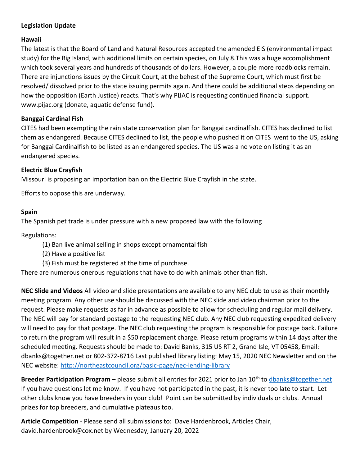## **Legislation Update**

#### **Hawaii**

The latest is that the Board of Land and Natural Resources accepted the amended EIS (environmental impact study) for the Big Island, with additional limits on certain species, on July 8.This was a huge accomplishment which took several years and hundreds of thousands of dollars. However, a couple more roadblocks remain. There are injunctions issues by the Circuit Court, at the behest of the Supreme Court, which must first be resolved/ dissolved prior to the state issuing permits again. And there could be additional steps depending on how the opposition (Earth Justice) reacts. That's why PIJAC is requesting continued financial support. [www.pijac.org](http://www.pijac.org/) (donate, aquatic defense fund).

### **Banggai Cardinal Fish**

CITES had been exempting the rain state conservation plan for Banggai cardinalfish. CITES has declined to list them as endangered. Because CITES declined to list, the people who pushed it on CITES went to the US, asking for Banggai Cardinalfish to be listed as an endangered species. The US was a no vote on listing it as an endangered species.

### **Electric Blue Crayfish**

Missouri is proposing an importation ban on the Electric Blue Crayfish in the state.

Efforts to oppose this are underway.

### **Spain**

The Spanish pet trade is under pressure with a new proposed law with the following

Regulations:

- (1) Ban live animal selling in shops except ornamental fish
- (2) Have a positive list
- (3) Fish must be registered at the time of purchase.

There are numerous onerous regulations that have to do with animals other than fish.

**NEC Slide and Videos** All video and slide presentations are available to any NEC club to use as their monthly meeting program. Any other use should be discussed with the NEC slide and video chairman prior to the request. Please make requests as far in advance as possible to allow for scheduling and regular mail delivery. The NEC will pay for standard postage to the requesting NEC club. Any NEC club requesting expedited delivery will need to pay for that postage. The NEC club requesting the program is responsible for postage back. Failure to return the program will result in a \$50 replacement charge. Please return programs within 14 days after the scheduled meeting. Requests should be made to: David Banks, 315 US RT 2, Grand Isle, VT 05458, Email: dbanks@together.net or 802-372-8716 Last published library listing: May 15, 2020 NEC Newsletter and on the NEC website:<http://northeastcouncil.org/basic-page/nec-lending-library>

**Breeder Participation Program –** please submit all entries for 2021 prior to Jan 10th to [dbanks@together.net](mailto:dbanks@together.net)  If you have questions let me know. If you have not participated in the past, it is never too late to start. Let other clubs know you have breeders in your club! Point can be submitted by individuals or clubs. Annual prizes for top breeders, and cumulative plateaus too.

**Article Competition** - Please send all submissions to: Dave Hardenbrook, Articles Chair, david.hardenbrook@cox.net by Wednesday, January 20, 2022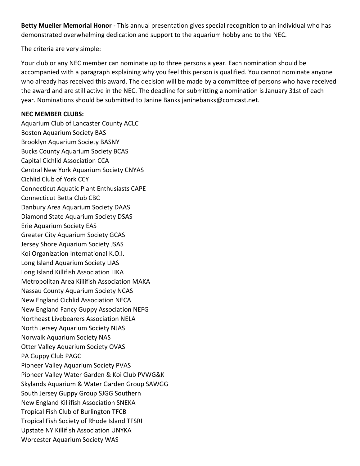**Betty Mueller Memorial Honor** - This annual presentation gives special recognition to an individual who has demonstrated overwhelming dedication and support to the aquarium hobby and to the NEC.

The criteria are very simple:

Your club or any NEC member can nominate up to three persons a year. Each nomination should be accompanied with a paragraph explaining why you feel this person is qualified. You cannot nominate anyone who already has received this award. The decision will be made by a committee of persons who have received the award and are still active in the NEC. The deadline for submitting a nomination is January 31st of each year. Nominations should be submitted to Janine Banks janinebanks@comcast.net.

#### **NEC MEMBER CLUBS:**

Aquarium Club of Lancaster County ACLC Boston Aquarium Society BAS Brooklyn Aquarium Society BASNY Bucks County Aquarium Society BCAS Capital Cichlid Association CCA Central New York Aquarium Society CNYAS Cichlid Club of York CCY Connecticut Aquatic Plant Enthusiasts CAPE Connecticut Betta Club CBC Danbury Area Aquarium Society DAAS Diamond State Aquarium Society DSAS Erie Aquarium Society EAS Greater City Aquarium Society GCAS Jersey Shore Aquarium Society JSAS Koi Organization International K.O.I. Long Island Aquarium Society LIAS Long Island Killifish Association LIKA Metropolitan Area Killifish Association MAKA Nassau County Aquarium Society NCAS New England Cichlid Association NECA New England Fancy Guppy Association NEFG Northeast Livebearers Association NELA North Jersey Aquarium Society NJAS Norwalk Aquarium Society NAS Otter Valley Aquarium Society OVAS PA Guppy Club PAGC Pioneer Valley Aquarium Society PVAS Pioneer Valley Water Garden & Koi Club PVWG&K Skylands Aquarium & Water Garden Group SAWGG South Jersey Guppy Group SJGG Southern New England Killifish Association SNEKA Tropical Fish Club of Burlington TFCB Tropical Fish Society of Rhode Island TFSRI Upstate NY Killifish Association UNYKA Worcester Aquarium Society WAS